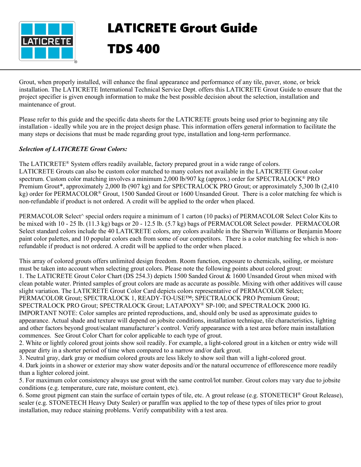

## LATICRETE Grout Guide TDS 400

Grout, when properly installed, will enhance the final appearance and performance of any tile, paver, stone, or brick installation. The LATICRETE International Technical Service Dept. offers this LATICRETE Grout Guide to ensure that the project specifier is given enough information to make the best possible decision about the selection, installation and maintenance of grout.

Please refer to this guide and the specific data sheets for the LATICRETE grouts being used prior to beginning any tile installation - ideally while you are in the project design phase. This information offers general information to facilitate the many steps or decisions that must be made regarding grout type, installation and long-term performance.

## *Selection of LATICRETE Grout Colors:*

The LATICRETE® System offers readily available, factory prepared grout in a wide range of colors. LATICRETE Grouts can also be custom color matched to many colors not available in the LATICRETE Grout color spectrum. Custom color matching involves a minimum 2,000 lb/907 kg (approx.) order for SPECTRALOCK® PRO Premium Grout\*, approximately 2,000 lb (907 kg) and for SPECTRALOCK PRO Grout; or approximately 5,300 lb (2,410 kg) order for PERMACOLOR® Grout, 1500 Sanded Grout or 1600 Unsanded Grout. There is a color matching fee which is non-refundable if product is not ordered. A credit will be applied to the order when placed.

PERMACOLOR Select^ special orders require a minimum of 1 carton (10 packs) of PERMACOLOR Select Color Kits to be mixed with 10 - 25 lb. (11.3 kg) bags or 20 - 12.5 lb. (5.7 kg) bags of PERMACOLOR Select powder. PERMACOLOR Select standard colors include the 40 LATICRETE colors, any colors available in the Sherwin Williams or Benjamin Moore paint color palettes, and 10 popular colors each from some of our competitors. There is a color matching fee which is nonrefundable if product is not ordered. A credit will be applied to the order when placed.

This array of colored grouts offers unlimited design freedom. Room function, exposure to chemicals, soiling, or moisture must be taken into account when selecting grout colors. Please note the following points about colored grout: 1. The LATICRETE Grout Color Chart (DS 254.3) depicts 1500 Sanded Grout & 1600 Unsanded Grout when mixed with clean potable water. Printed samples of grout colors are made as accurate as possible. Mixing with other additives will cause slight variation. The LATICRETE Grout Color Card depicts colors representative of PERMACOLOR Select; PERMACOLOR Grout; SPECTRALOCK 1, READY-TO-USE™; SPECTRALOCK PRO Premium Grout; SPECTRALOCK PRO Grout; SPECTRALOCK Grout; LATAPOXY® SP-100; and SPECTRALOCK 2000 IG. IMPORTANT NOTE: Color samples are printed reproductions, and, should only be used as approximate guides to appearance. Actual shade and texture will depend on jobsite conditions, installation technique, tile characteristics, lighting and other factors beyond grout/sealant manufacturer's control. Verify appearance with a test area before main installation commences. See Grout Color Chart for color applicable to each type of grout.

2. White or lightly colored grout joints show soil readily. For example, a light-colored grout in a kitchen or entry wide will appear dirty in a shorter period of time when compared to a narrow and/or dark grout.

3. Neutral gray, dark gray or medium colored grouts are less likely to show soil than will a light-colored grout.

4. Dark joints in a shower or exterior may show water deposits and/or the natural occurrence of efflorescence more readily than a lighter colored joint.

5. For maximum color consistency always use grout with the same control/lot number. Grout colors may vary due to jobsite conditions (e.g. temperature, cure rate, moisture content, etc).

6. Some grout pigment can stain the surface of certain types of tile, etc. A grout release (e.g. STONETECH® Grout Release), sealer (e.g. STONETECH Heavy Duty Sealer) or paraffin wax applied to the top of these types of tiles prior to grout installation, may reduce staining problems. Verify compatibility with a test area.